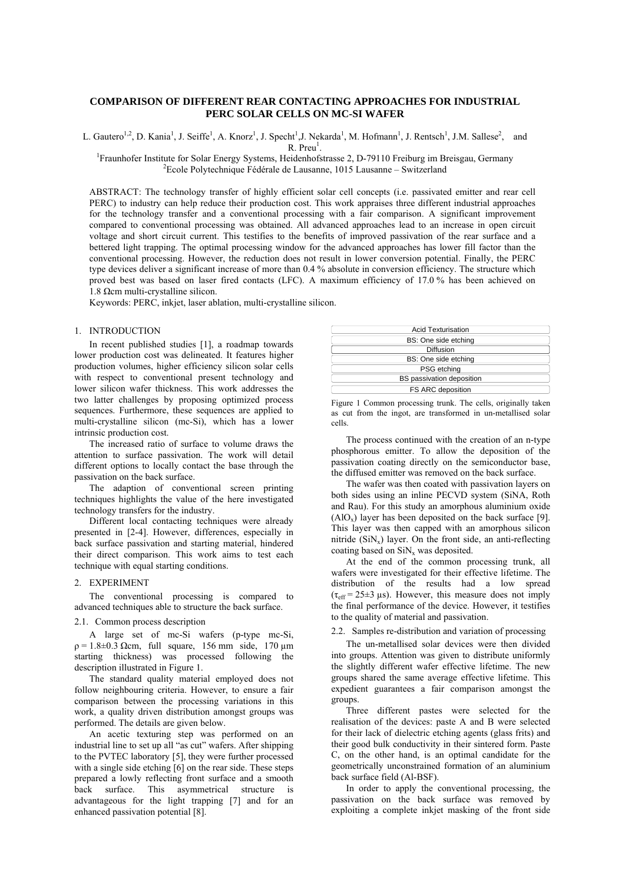# **COMPARISON OF DIFFERENT REAR CONTACTING APPROACHES FOR INDUSTRIAL PERC SOLAR CELLS ON MC-SI WAFER**

L. Gautero<sup>1,2</sup>, D. Kania<sup>1</sup>, J. Seiffe<sup>1</sup>, A. Knorz<sup>1</sup>, J. Specht<sup>1</sup>, J. Nekarda<sup>1</sup>, M. Hofmann<sup>1</sup>, J. Rentsch<sup>1</sup>, J.M. Sallese<sup>2</sup>, and  $R. Preu<sup>1</sup>.$  $R$ . Preu<sup>1</sup>.<br><sup>1</sup>Ereunhofor Institute for Solar Energy Systems, Hojdonhofor

Fraunhofer Institute for Solar Energy Systems, Heidenhofstrasse 2, D-79110 Freiburg im Breisgau, Germany  ${}^{2}$ Ecole Polytechnique Fédérale de Lausanne, 1015 Lausanne – Switzerland

ABSTRACT: The technology transfer of highly efficient solar cell concepts (i.e. passivated emitter and rear cell PERC) to industry can help reduce their production cost. This work appraises three different industrial approaches for the technology transfer and a conventional processing with a fair comparison. A significant improvement compared to conventional processing was obtained. All advanced approaches lead to an increase in open circuit voltage and short circuit current. This testifies to the benefits of improved passivation of the rear surface and a bettered light trapping. The optimal processing window for the advanced approaches has lower fill factor than the conventional processing. However, the reduction does not result in lower conversion potential. Finally, the PERC type devices deliver a significant increase of more than 0.4 % absolute in conversion efficiency. The structure which proved best was based on laser fired contacts (LFC). A maximum efficiency of 17.0 % has been achieved on 1.8 Ωcm multi-crystalline silicon.

Keywords: PERC, inkjet, laser ablation, multi-crystalline silicon.

# 1. INTRODUCTION

In recent published studies [1], a roadmap towards lower production cost was delineated. It features higher production volumes, higher efficiency silicon solar cells with respect to conventional present technology and lower silicon wafer thickness. This work addresses the two latter challenges by proposing optimized process sequences. Furthermore, these sequences are applied to multi-crystalline silicon (mc-Si), which has a lower intrinsic production cost.

The increased ratio of surface to volume draws the attention to surface passivation. The work will detail different options to locally contact the base through the passivation on the back surface.

The adaption of conventional screen printing techniques highlights the value of the here investigated technology transfers for the industry.

Different local contacting techniques were already presented in [2-4]. However, differences, especially in back surface passivation and starting material, hindered their direct comparison. This work aims to test each technique with equal starting conditions.

# 2. EXPERIMENT

The conventional processing is compared to advanced techniques able to structure the back surface.

### 2.1. Common process description

A large set of mc-Si wafers (p-type mc-Si,  $p = 1.8 \pm 0.3$  Ωcm, full square, 156 mm side, 170 um starting thickness) was processed following the description illustrated in Figure 1.

The standard quality material employed does not follow neighbouring criteria. However, to ensure a fair comparison between the processing variations in this work, a quality driven distribution amongst groups was performed. The details are given below.

An acetic texturing step was performed on an industrial line to set up all "as cut" wafers. After shipping to the PVTEC laboratory [5], they were further processed with a single side etching [6] on the rear side. These steps prepared a lowly reflecting front surface and a smooth back surface. This asymmetrical structure is advantageous for the light trapping [7] and for an enhanced passivation potential [8].

| <b>Acid Texturisation</b> |
|---------------------------|
| BS: One side etching      |
| Diffusion                 |
| BS: One side etching      |
| PSG etching               |
| BS passivation deposition |
| FS ARC deposition         |

Figure 1 Common processing trunk. The cells, originally taken as cut from the ingot, are transformed in un-metallised solar cells.

The process continued with the creation of an n-type phosphorous emitter. To allow the deposition of the passivation coating directly on the semiconductor base, the diffused emitter was removed on the back surface.

The wafer was then coated with passivation layers on both sides using an inline PECVD system (SiNA, Roth and Rau). For this study an amorphous aluminium oxide  $(AIO<sub>x</sub>)$  layer has been deposited on the back surface [9]. This layer was then capped with an amorphous silicon nitride  $(SiN_x)$  layer. On the front side, an anti-reflecting coating based on  $\text{SiN}_x$  was deposited.

At the end of the common processing trunk, all wafers were investigated for their effective lifetime. The distribution of the results had a low spread  $(\tau_{\text{eff}} = 25 \pm 3 \text{ us})$ . However, this measure does not imply the final performance of the device. However, it testifies to the quality of material and passivation.

2.2. Samples re-distribution and variation of processing

The un-metallised solar devices were then divided into groups. Attention was given to distribute uniformly the slightly different wafer effective lifetime. The new groups shared the same average effective lifetime. This expedient guarantees a fair comparison amongst the groups.

Three different pastes were selected for the realisation of the devices: paste A and B were selected for their lack of dielectric etching agents (glass frits) and their good bulk conductivity in their sintered form. Paste C, on the other hand, is an optimal candidate for the geometrically unconstrained formation of an aluminium back surface field (Al-BSF).

In order to apply the conventional processing, the passivation on the back surface was removed by exploiting a complete inkjet masking of the front side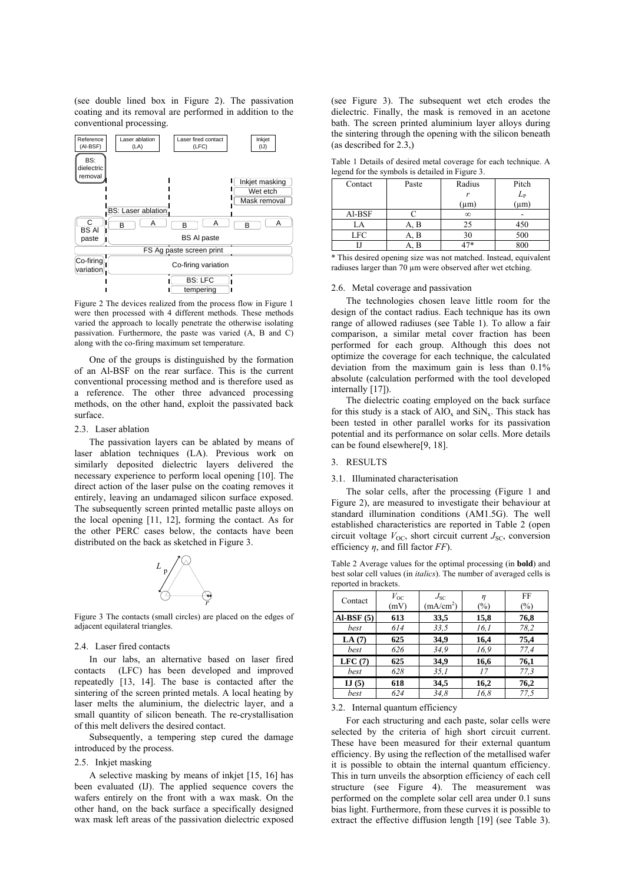(see double lined box in Figure 2). The passivation coating and its removal are performed in addition to the conventional processing.



Figure 2 The devices realized from the process flow in Figure 1 were then processed with 4 different methods. These methods varied the approach to locally penetrate the otherwise isolating passivation. Furthermore, the paste was varied (A, B and C) along with the co-firing maximum set temperature.

One of the groups is distinguished by the formation of an Al-BSF on the rear surface. This is the current conventional processing method and is therefore used as a reference. The other three advanced processing methods, on the other hand, exploit the passivated back surface.

### 2.3. Laser ablation

The passivation layers can be ablated by means of laser ablation techniques (LA). Previous work on similarly deposited dielectric layers delivered the necessary experience to perform local opening [10]. The direct action of the laser pulse on the coating removes it entirely, leaving an undamaged silicon surface exposed. The subsequently screen printed metallic paste alloys on the local opening [11, 12], forming the contact. As for the other PERC cases below, the contacts have been distributed on the back as sketched in Figure 3.



Figure 3 The contacts (small circles) are placed on the edges of adjacent equilateral triangles.

### 2.4. Laser fired contacts

In our labs, an alternative based on laser fired contacts (LFC) has been developed and improved repeatedly [13, 14]. The base is contacted after the sintering of the screen printed metals. A local heating by laser melts the aluminium, the dielectric layer, and a small quantity of silicon beneath. The re-crystallisation of this melt delivers the desired contact.

Subsequently, a tempering step cured the damage introduced by the process.

# 2.5. Inkjet masking

A selective masking by means of inkjet [15, 16] has been evaluated (IJ). The applied sequence covers the wafers entirely on the front with a wax mask. On the other hand, on the back surface a specifically designed wax mask left areas of the passivation dielectric exposed

(see Figure 3). The subsequent wet etch erodes the dielectric. Finally, the mask is removed in an acetone bath. The screen printed aluminium layer alloys during the sintering through the opening with the silicon beneath (as described for 2.3,)

Table 1 Details of desired metal coverage for each technique. A legend for the symbols is detailed in Figure 3.

|            |       | Radius       | Pitch         |  |
|------------|-------|--------------|---------------|--|
| Contact    | Paste |              |               |  |
|            |       | $\mathbf{r}$ |               |  |
|            |       | $(\mu m)$    | $L_P$<br>(µm) |  |
| Al-BSF     |       | $\infty$     |               |  |
| LA         | в     | 25           | 450           |  |
| <b>LFC</b> | . B   | 30           | 500           |  |
|            |       |              | 800           |  |

\* This desired opening size was not matched. Instead, equivalent radiuses larger than 70 µm were observed after wet etching.

### 2.6. Metal coverage and passivation

The technologies chosen leave little room for the design of the contact radius. Each technique has its own range of allowed radiuses (see Table 1). To allow a fair comparison, a similar metal cover fraction has been performed for each group. Although this does not optimize the coverage for each technique, the calculated deviation from the maximum gain is less than 0.1% absolute (calculation performed with the tool developed internally [17]).

The dielectric coating employed on the back surface for this study is a stack of  $AIO_x$  and  $SiN_x$ . This stack has been tested in other parallel works for its passivation potential and its performance on solar cells. More details can be found elsewhere[9, 18].

# 3. RESULTS

#### 3.1. Illuminated characterisation

The solar cells, after the processing (Figure 1 and Figure 2), are measured to investigate their behaviour at standard illumination conditions (AM1.5G). The well established characteristics are reported in Table 2 (open circuit voltage  $V_{\text{OC}}$ , short circuit current  $J_{\text{SC}}$ , conversion efficiency *η*, and fill factor *FF*).

Table 2 Average values for the optimal processing (in **bold**) and best solar cell values (in *italics*). The number of averaged cells is reported in brackets.

| Contact     | $V_{\rm OC}$<br>(mV) | $J_{\rm SC}$<br>(mA/cm <sup>2</sup> ) | η<br>$(\%)$ | FF<br>(%) |
|-------------|----------------------|---------------------------------------|-------------|-----------|
| $AI-BSF(5)$ | 613                  | 33,5                                  | 15,8        | 76,8      |
| best        | 614                  | 33,5                                  | 16,1        | 78,2      |
| LA $(7)$    | 625                  | 34,9                                  | 16,4        | 75,4      |
| best        | 626                  | 34,9                                  | 16.9        | 77,4      |
| LFC(7)      | 625                  | 34,9                                  | 16,6        | 76,1      |
| best        | 628                  | 35,1                                  | 17          | 77.3      |
| IJ(5)       | 618                  | 34,5                                  | 16,2        | 76,2      |
| best        | 624                  | 34.8                                  | 16,8        | 77.5      |

### 3.2. Internal quantum efficiency

For each structuring and each paste, solar cells were selected by the criteria of high short circuit current. These have been measured for their external quantum efficiency. By using the reflection of the metallised wafer it is possible to obtain the internal quantum efficiency. This in turn unveils the absorption efficiency of each cell structure (see Figure 4). The measurement was performed on the complete solar cell area under 0.1 suns bias light. Furthermore, from these curves it is possible to extract the effective diffusion length [19] (see Table 3).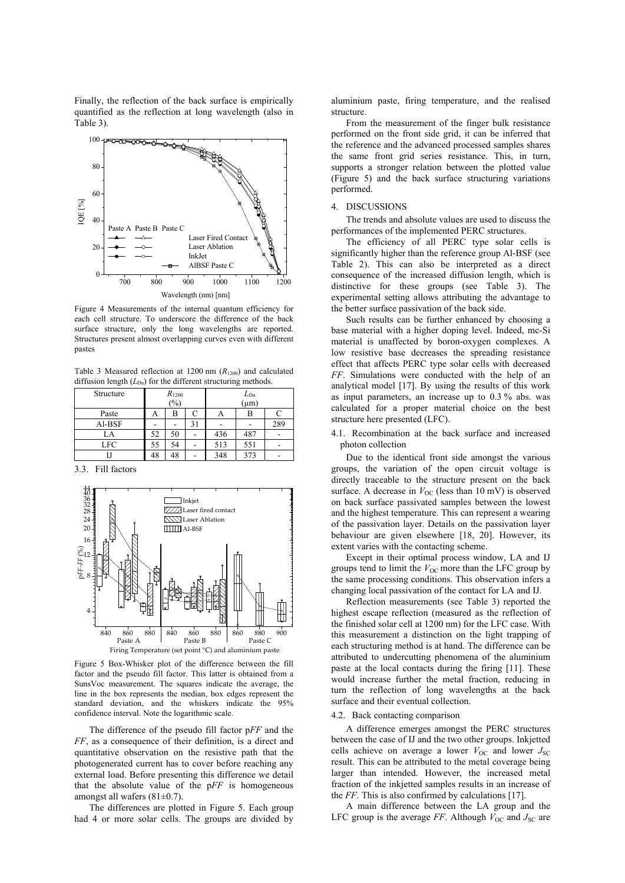Finally, the reflection of the back surface is empirically quantified as the reflection at long wavelength (also in Table 3).



Figure 4 Measurements of the internal quantum efficiency for each cell structure. To underscore the difference of the back surface structure, only the long wavelengths are reported. Structures present almost overlapping curves even with different pastes

Table 3 Measured reflection at 1200 nm  $(R_{1200})$  and calculated diffusion length  $(L_{\text{Dn}})$  for the different structuring methods.

| Structure | $R_{1200}$ |    |  | $L_{\text{Dn}}$ |     |     |
|-----------|------------|----|--|-----------------|-----|-----|
|           | (%)        |    |  | $(\mu m)$       |     |     |
| Paste     | A          | В  |  | A               | D   |     |
| Al-BSF    |            |    |  |                 |     | 289 |
| LA        | 52         | 50 |  | 436             | 487 |     |
| LFC       | 55         | 54 |  | 513             | 551 |     |
|           | 48         | 48 |  | 348             | 373 |     |

3.3. Fill factors



Figure 5 Box-Whisker plot of the difference between the fill factor and the pseudo fill factor. This latter is obtained from a SunsVoc measurement. The squares indicate the average, the line in the box represents the median, box edges represent the standard deviation, and the whiskers indicate the 95% confidence interval. Note the logarithmic scale.

The difference of the pseudo fill factor p*FF* and the *FF*, as a consequence of their definition, is a direct and quantitative observation on the resistive path that the photogenerated current has to cover before reaching any external load. Before presenting this difference we detail that the absolute value of the p*FF* is homogeneous amongst all wafers (81±0.7).

The differences are plotted in Figure 5. Each group had 4 or more solar cells. The groups are divided by

aluminium paste, firing temperature, and the realised structure.

From the measurement of the finger bulk resistance performed on the front side grid, it can be inferred that the reference and the advanced processed samples shares the same front grid series resistance. This, in turn, supports a stronger relation between the plotted value (Figure 5) and the back surface structuring variations performed.

# 4. DISCUSSIONS

The trends and absolute values are used to discuss the performances of the implemented PERC structures.

The efficiency of all PERC type solar cells is significantly higher than the reference group Al-BSF (see Table 2). This can also be interpreted as a direct consequence of the increased diffusion length, which is distinctive for these groups (see Table 3). The experimental setting allows attributing the advantage to the better surface passivation of the back side.

Such results can be further enhanced by choosing a base material with a higher doping level. Indeed, mc-Si material is unaffected by boron-oxygen complexes. A low resistive base decreases the spreading resistance effect that affects PERC type solar cells with decreased *FF*. Simulations were conducted with the help of an analytical model [17]. By using the results of this work as input parameters, an increase up to 0.3 % abs. was calculated for a proper material choice on the best structure here presented (LFC).

4.1. Recombination at the back surface and increased photon collection

Due to the identical front side amongst the various groups, the variation of the open circuit voltage is directly traceable to the structure present on the back surface. A decrease in  $V_{OC}$  (less than 10 mV) is observed on back surface passivated samples between the lowest and the highest temperature. This can represent a wearing of the passivation layer. Details on the passivation layer behaviour are given elsewhere [18, 20]. However, its extent varies with the contacting scheme.

Except in their optimal process window, LA and IJ groups tend to limit the  $V_{OC}$  more than the LFC group by the same processing conditions. This observation infers a changing local passivation of the contact for LA and IJ.

Reflection measurements (see Table 3) reported the highest escape reflection (measured as the reflection of the finished solar cell at 1200 nm) for the LFC case. With this measurement a distinction on the light trapping of each structuring method is at hand. The difference can be attributed to undercutting phenomena of the aluminium paste at the local contacts during the firing [11]. These would increase further the metal fraction, reducing in turn the reflection of long wavelengths at the back surface and their eventual collection.

# 4.2. Back contacting comparison

A difference emerges amongst the PERC structures between the case of IJ and the two other groups. Inkjetted cells achieve on average a lower  $V_{\text{OC}}$  and lower  $J_{\text{SC}}$ result. This can be attributed to the metal coverage being larger than intended. However, the increased metal fraction of the inkjetted samples results in an increase of the *FF*. This is also confirmed by calculations [17].

A main difference between the LA group and the LFC group is the average *FF*. Although  $V_{OC}$  and  $J_{SC}$  are